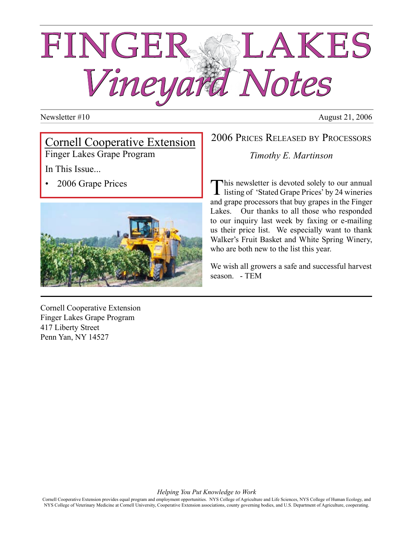# FINGER SSLAKES *Vineyard Notes*

#### Newsletter #10 August 21, 2006

# Cornell Cooperative Extension

Finger Lakes Grape Program

In This Issue...

• 2006 Grape Prices



Cornell Cooperative Extension Finger Lakes Grape Program 417 Liberty Street Penn Yan, NY 14527

#### 2006 Prices Released by Processors

*Timothy E. Martinson*

This newsletter is devoted solely to our annual listing of 'Stated Grape Prices' by 24 wineries and grape processors that buy grapes in the Finger Lakes. Our thanks to all those who responded to our inquiry last week by faxing or e-mailing us their price list. We especially want to thank Walker's Fruit Basket and White Spring Winery, who are both new to the list this year.

We wish all growers a safe and successful harvest season. - TEM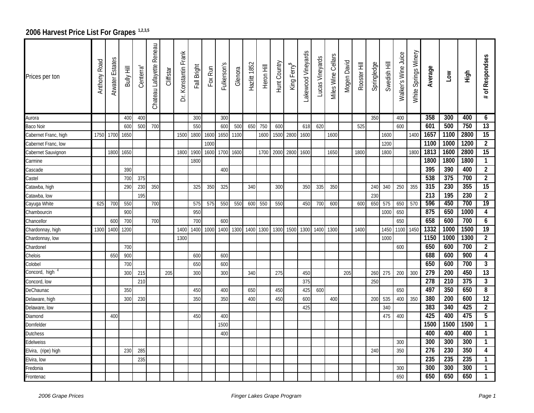## 2006 Harvest Price List For Grapes<sup>1,2,3,5</sup>

| Prices per ton       | Anthony Road | Atwater Estate | <b>Bully Hill</b> | Centerra <sup>4</sup> | Reneau<br>Chateau Lafayette | Cliffstar | Dr. Konstantin Frank | Fall Bright | Fox Run | Fulkerson's | Glenora | Hazlitt 1852 | Heron Hill | Hunt Country | King Ferry <sup>5</sup> | Lakewood Vineyards | Lucas Vineyards | <b>Miles Wine Cellars</b> | Mogen David | Rooster Hill | Springledge | Swedish Hill | Walker's Wine Juice | White Springs Winery | Average          | Low              | High | of Respondses<br>#      |
|----------------------|--------------|----------------|-------------------|-----------------------|-----------------------------|-----------|----------------------|-------------|---------|-------------|---------|--------------|------------|--------------|-------------------------|--------------------|-----------------|---------------------------|-------------|--------------|-------------|--------------|---------------------|----------------------|------------------|------------------|------|-------------------------|
| Aurora               |              |                | 400               | 400                   |                             |           |                      | 300         |         | 300         |         |              |            |              |                         |                    |                 |                           |             |              | 350         |              | 400                 |                      | 358              | 300              | 400  | 6                       |
| Baco Noir            |              |                | 600               | 500                   | 700                         |           |                      | 550         |         | 600         | 500     | 650          | 750        | 600          |                         | 618                | 620             |                           |             | 525          |             |              | 600                 |                      | 601              | 500              | 750  | 13                      |
| Cabernet Franc, high | 1750         | 1700           | 1650              |                       |                             |           | 1500                 | 1800        | 1600    | 1650        | 1100    |              | 1600       | 1500         | 2800                    | 1600               |                 | 1600                      |             |              |             | 1600         |                     | 1400                 | 1657             | 1100             | 2800 | 15                      |
| Cabernet Franc, low  |              |                |                   |                       |                             |           |                      |             | 1000    |             |         |              |            |              |                         |                    |                 |                           |             |              |             | 1200         |                     |                      | 1100             | 1000             | 1200 | $\overline{2}$          |
| Cabernet Sauvignon   |              | 1800           | 1650              |                       |                             |           | 1800                 | 1900        | 1600    | 1700        | 1600    |              | 1700       | 2000         | 2800                    | 1600               |                 | 1650                      |             | 1800         |             | 1800         |                     | 1800                 | 1813             | 1600             | 2800 | $\overline{15}$         |
| Carmine              |              |                |                   |                       |                             |           |                      | 1800        |         |             |         |              |            |              |                         |                    |                 |                           |             |              |             |              |                     |                      | 1800             | 1800             | 1800 | 1                       |
| Cascade              |              |                | 390               |                       |                             |           |                      |             |         | 400         |         |              |            |              |                         |                    |                 |                           |             |              |             |              |                     |                      | 395              | 390              | 400  | $\overline{2}$          |
| Castel               |              |                | 700               | 375                   |                             |           |                      |             |         |             |         |              |            |              |                         |                    |                 |                           |             |              |             |              |                     |                      | 538              | $\overline{375}$ | 700  | $\overline{2}$          |
| Catawba, high        |              |                | 290               | 230                   | 350                         |           |                      | 325         | 350     | 325         |         | 340          |            | 300          |                         | 350                | 335             | 350                       |             |              | 240         | 340          | 250                 | 355                  | 315              | 230              | 355  | 15                      |
| Catawba, low         |              |                |                   | 195                   |                             |           |                      |             |         |             |         |              |            |              |                         |                    |                 |                           |             |              | 230         |              |                     |                      | $\overline{213}$ | 195              | 230  | $\overline{2}$          |
| Cayuga White         | 625          | 700            | 550               |                       | 700                         |           |                      | 575         | 575     | 550         | 550     | 600          | 550        | 550          |                         | 450                | 700             | 600                       |             | 600          | 650         | 575          | 650                 | 570                  | 596              | 450              | 700  | 19                      |
| Chambourcin          |              |                | 900               |                       |                             |           |                      | 950         |         |             |         |              |            |              |                         |                    |                 |                           |             |              |             | 1000         | 650                 |                      | 875              | 650              | 1000 | $\overline{\mathbf{4}}$ |
| Chancellor           |              | 600            | 700               |                       | 700                         |           |                      | 700         |         | 600         |         |              |            |              |                         |                    |                 |                           |             |              |             |              | 650                 |                      | 658              | 600              | 700  | 6                       |
| Chardonnay, high     | 1300         | 1400           | 1200              |                       |                             |           | 1400                 | 1400        | 1000    | 1400        | 1300    | 1400         | 1300       | 1300         | 1500                    | 1300               | 1400            | 1300                      |             | 1400         |             | 1450         | 1100 1450           |                      | 1332             | 1000             | 1500 | $\overline{19}$         |
| Chardonnay, low      |              |                |                   |                       |                             |           | 1300                 |             |         |             |         |              |            |              |                         |                    |                 |                           |             |              |             | 1000         |                     |                      | 1150             | 1000             | 1300 | $\overline{2}$          |
| Chardonel            |              |                | 700               |                       |                             |           |                      |             |         |             |         |              |            |              |                         |                    |                 |                           |             |              |             |              | 600                 |                      | 650              | 600              | 700  | $\overline{2}$          |
| Chelois              |              | 650            | 900               |                       |                             |           |                      | 600         |         | 600         |         |              |            |              |                         |                    |                 |                           |             |              |             |              |                     |                      | 688              | 600              | 900  | $\overline{\mathbf{4}}$ |
| Colobel              |              |                | 700               |                       |                             |           |                      | 650         |         | 600         |         |              |            |              |                         |                    |                 |                           |             |              |             |              |                     |                      | 650              | 600              | 700  | $\mathbf{3}$            |
| Concord, high        |              |                | 300               | 215                   |                             | 205       |                      | 300         |         | 300         |         | 340          |            | 275          |                         | 450                |                 |                           | 205         |              | 260         | 275          | 200                 | 300                  | 279              | 200              | 450  | $\overline{13}$         |
| Concord, low         |              |                |                   | 210                   |                             |           |                      |             |         |             |         |              |            |              |                         | 375                |                 |                           |             |              | 250         |              |                     |                      | 278              | 210              | 375  | 3                       |
| DeChaunac            |              |                | 350               |                       |                             |           |                      | 450         |         | 400         |         | 650          |            | 450          |                         | 425                | 600             |                           |             |              |             |              | 650                 |                      | 497              | 350              | 650  | 8                       |
| Delaware, high       |              |                | 300               | 230                   |                             |           |                      | 350         |         | 350         |         | 400          |            | 450          |                         | 600                |                 | 400                       |             |              | 200         | 535          | 400                 | 350                  | 380              | 200              | 600  | $\overline{12}$         |
| Delaware, low        |              |                |                   |                       |                             |           |                      |             |         |             |         |              |            |              |                         | 425                |                 |                           |             |              |             | 340          |                     |                      | 383              | 340              | 425  | $\overline{2}$          |
| Diamond              |              | 400            |                   |                       |                             |           |                      | 450         |         | 400         |         |              |            |              |                         |                    |                 |                           |             |              |             | 475          | 400                 |                      | 425              | 400              | 475  | $\overline{5}$          |
| Dornfelder           |              |                |                   |                       |                             |           |                      |             |         | 1500        |         |              |            |              |                         |                    |                 |                           |             |              |             |              |                     |                      | 1500             | 1500             | 1500 | $\mathbf{1}$            |
| Dutchess             |              |                |                   |                       |                             |           |                      |             |         | 400         |         |              |            |              |                         |                    |                 |                           |             |              |             |              |                     |                      | 400              | 400              | 400  | $\mathbf{1}$            |
| Edelweiss            |              |                |                   |                       |                             |           |                      |             |         |             |         |              |            |              |                         |                    |                 |                           |             |              |             |              | 300                 |                      | $\overline{300}$ | 300              | 300  | 1                       |
| Elvira, (ripe) high  |              |                | 230               | 285                   |                             |           |                      |             |         |             |         |              |            |              |                         |                    |                 |                           |             |              | 240         |              | 350                 |                      | 276              | 230              | 350  | 4                       |
| Elvira, low          |              |                |                   | 235                   |                             |           |                      |             |         |             |         |              |            |              |                         |                    |                 |                           |             |              |             |              |                     |                      | 235              | 235              | 235  | $\mathbf{1}$            |
| Fredonia             |              |                |                   |                       |                             |           |                      |             |         |             |         |              |            |              |                         |                    |                 |                           |             |              |             |              | 300                 |                      | 300              | 300              | 300  | 1                       |
| Frontenac            |              |                |                   |                       |                             |           |                      |             |         |             |         |              |            |              |                         |                    |                 |                           |             |              |             |              | 650                 |                      | 650              | 650              | 650  | $\mathbf{1}$            |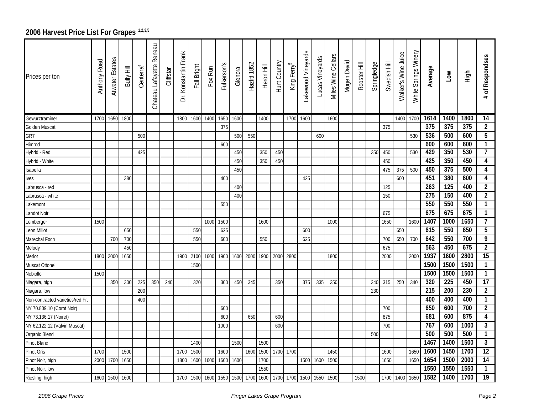## 2006 Harvest Price List For Grapes<sup>1,2,3,5</sup>

| Prices per ton                   | <b>Anthony Road</b> | Atwater Estates | Bully Hill | Centerra <sup>4</sup> | Reneau<br>Chateau Lafayette | Cliffstar | Konstantin Frank<br>.<br>آ | Fall Bright | Fox Run | Fulkerson's | Glenora | Hazlitt 1852 | Heron Hill | Hunt Country | King Ferry <sup>5</sup> | Lakewood Vineyards | Lucas Vineyards | Miles Wine Cellars | Mogen David | Rooster Hill | Springledge | Swedish Hill | Walker's Wine Juice | White Springs Winery | Average          | <b>NOT</b>       | High             | of Respondses<br>#      |
|----------------------------------|---------------------|-----------------|------------|-----------------------|-----------------------------|-----------|----------------------------|-------------|---------|-------------|---------|--------------|------------|--------------|-------------------------|--------------------|-----------------|--------------------|-------------|--------------|-------------|--------------|---------------------|----------------------|------------------|------------------|------------------|-------------------------|
| Gewurztraminer                   | 1700                | 1650            | 1800       |                       |                             |           | 1800                       | 1600        | 1400    | 1650        | 1600    |              | 1400       |              | 1700                    | 1600               |                 | 1600               |             |              |             |              | 1400 1700           |                      | 1614             | 1400             | 1800             | 14                      |
| Golden Muscat                    |                     |                 |            |                       |                             |           |                            |             |         | 375         |         |              |            |              |                         |                    |                 |                    |             |              |             | 375          |                     |                      | 375              | $\overline{375}$ | $\overline{375}$ | $\overline{2}$          |
| GR7                              |                     |                 |            | 500                   |                             |           |                            |             |         |             | 500     | 550          |            |              |                         |                    | 600             |                    |             |              |             |              |                     | 530                  | 536              | 500              | 600              | $\overline{5}$          |
| Himrod                           |                     |                 |            |                       |                             |           |                            |             |         | 600         |         |              |            |              |                         |                    |                 |                    |             |              |             |              |                     |                      | 600              | 600              | 600              | $\mathbf{1}$            |
| Hybrid - Red                     |                     |                 |            | 425                   |                             |           |                            |             |         |             | 450     |              | 350        | 450          |                         |                    |                 |                    |             |              | 350         | 450          |                     | 530                  | 429              | 350              | 530              | $\overline{7}$          |
| Hybrid - White                   |                     |                 |            |                       |                             |           |                            |             |         |             | 450     |              | 350        | 450          |                         |                    |                 |                    |             |              |             | 450          |                     |                      | 425              | 350              | 450              | 4                       |
| Isabella                         |                     |                 |            |                       |                             |           |                            |             |         |             | 450     |              |            |              |                         |                    |                 |                    |             |              |             | 475          | 375                 | 500                  | 450              | 375              | 500              | $\overline{\mathbf{4}}$ |
| lves                             |                     |                 | 380        |                       |                             |           |                            |             |         | 400         |         |              |            |              |                         | 425                |                 |                    |             |              |             |              | 600                 |                      | 451              | 380              | 600              | $\overline{\mathbf{4}}$ |
| abrusca - red                    |                     |                 |            |                       |                             |           |                            |             |         |             | 400     |              |            |              |                         |                    |                 |                    |             |              |             | 125          |                     |                      | 263              | 125              | 400              | $\overline{2}$          |
| Labrusca - white                 |                     |                 |            |                       |                             |           |                            |             |         |             | 400     |              |            |              |                         |                    |                 |                    |             |              |             | 150          |                     |                      | $\overline{275}$ | 150              | 400              | $\overline{2}$          |
| Lakemont                         |                     |                 |            |                       |                             |           |                            |             |         | 550         |         |              |            |              |                         |                    |                 |                    |             |              |             |              |                     |                      | 550              | 550              | 550              | $\mathbf{1}$            |
| Landot Noir                      |                     |                 |            |                       |                             |           |                            |             |         |             |         |              |            |              |                         |                    |                 |                    |             |              |             | 675          |                     |                      | 675              | 675              | 675              | $\mathbf{1}$            |
| Lemberger                        | 1500                |                 |            |                       |                             |           |                            |             | 1000    | 1500        |         |              | 1600       |              |                         |                    |                 | 1000               |             |              |             | 1650         |                     | 1600                 | 1407             | 1000             | 1650             | 7                       |
| Leon Millot                      |                     |                 | 650        |                       |                             |           |                            | 550         |         | 625         |         |              |            |              |                         | 600                |                 |                    |             |              |             |              | 650                 |                      | 615              | 550              | 650              | 5                       |
| Marechal Foch                    |                     | 700             | 700        |                       |                             |           |                            | 550         |         | 600         |         |              | 550        |              |                         | 625                |                 |                    |             |              |             | 700          | 650                 | 700                  | 642              | 550              | 700              | 9                       |
| Melody                           |                     |                 | 450        |                       |                             |           |                            |             |         |             |         |              |            |              |                         |                    |                 |                    |             |              |             | 675          |                     |                      | 563              | 450              | 675              | $\overline{2}$          |
| Merlot                           | 1800                | 2000            | 1650       |                       |                             |           | 1900                       | 2100        | 1600    | 1900        | 1600    | 2000         | 1900       | 2000         | 2800                    |                    |                 | 1800               |             |              |             | 2000         |                     | 2000                 | 1937             | 1600             | 2800             | 15                      |
| Muscat Ottonel                   |                     |                 |            |                       |                             |           |                            | 1500        |         |             |         |              |            |              |                         |                    |                 |                    |             |              |             |              |                     |                      | 1500             | 1500             | 1500             | $\mathbf{1}$            |
| Nebiollo                         | 1500                |                 |            |                       |                             |           |                            |             |         |             |         |              |            |              |                         |                    |                 |                    |             |              |             |              |                     |                      | 1500             | 1500             | 1500             | $\mathbf{1}$            |
| Niagara, high                    |                     | 350             | 300        | 225                   | 350                         | 240       |                            | 320         |         | 300         | 450     | 345          |            | 350          |                         | 375                | 335             | 350                |             |              | 240         | 315          | 250                 | 340                  | 320              | 225              | 450              | $\overline{17}$         |
| Niagara, Iow                     |                     |                 |            | 200                   |                             |           |                            |             |         |             |         |              |            |              |                         |                    |                 |                    |             |              | 230         |              |                     |                      | 215              | 200              | 230              | $\overline{2}$          |
| Non-contracted varieties/red Fr. |                     |                 |            | 400                   |                             |           |                            |             |         |             |         |              |            |              |                         |                    |                 |                    |             |              |             |              |                     |                      | 400              | 400              | 400              | $\mathbf{1}$            |
| NY 70.809.10 (Corot Noir)        |                     |                 |            |                       |                             |           |                            |             |         | 600         |         |              |            |              |                         |                    |                 |                    |             |              |             | 700          |                     |                      | 650              | 600              | 700              | $\overline{2}$          |
| NY 73.136.17 (Noiret)            |                     |                 |            |                       |                             |           |                            |             |         | 600         |         | 650          |            | 600          |                         |                    |                 |                    |             |              |             | 875          |                     |                      | 681              | 600              | 875              | 4                       |
| NY 62.122.12 (Valvin Muscat)     |                     |                 |            |                       |                             |           |                            |             |         | 1000        |         |              |            | 600          |                         |                    |                 |                    |             |              |             | 700          |                     |                      | 767              | 600              | 1000             | $\overline{3}$          |
| Organic Blend                    |                     |                 |            |                       |                             |           |                            |             |         |             |         |              |            |              |                         |                    |                 |                    |             |              | 500         |              |                     |                      | 500              | 500              | 500              | $\mathbf{1}$            |
| Pinot Blanc                      |                     |                 |            |                       |                             |           |                            | 1400        |         |             | 1500    |              | 1500       |              |                         |                    |                 |                    |             |              |             |              |                     |                      | 1467             | 1400             | 1500             | $\overline{3}$          |
| Pinot Gris                       | 1700                |                 | 1500       |                       |                             |           | 1700                       | 1500        |         | 1600        |         | 1600         | 1500       | 1700         | 1700                    |                    |                 | 1450               |             |              |             | 1600         |                     | 1650                 | 1600             | 1450             | 1700             | $\overline{12}$         |
| Pinot Noir, high                 | 2000                | 1700            | 1650       |                       |                             |           | 1800                       | 1600        | 1600    | 1600        | 1600    |              | 1700       |              |                         | 1500               | 1600            | 1500               |             |              |             | 1650         |                     | 1650                 | 1654             | 1500             | 2000             | 14                      |
| Pinot Noir, low                  |                     |                 |            |                       |                             |           |                            |             |         |             |         |              | 1550       |              |                         |                    |                 |                    |             |              |             |              |                     |                      | 1550             | 1550             | 1550             | 1                       |
| Riesling, high                   | 1600                | 1500            | 1600       |                       |                             |           | 1700                       | 1500        | 1600    | 1550        |         | 1500 1700    | 1600       | 1700         | 1700                    | 1500               | 1550            | 1500               |             | 1500         |             | 1700         | 1400 1650           |                      | 1582             | 1400             | 1700             | $\overline{19}$         |